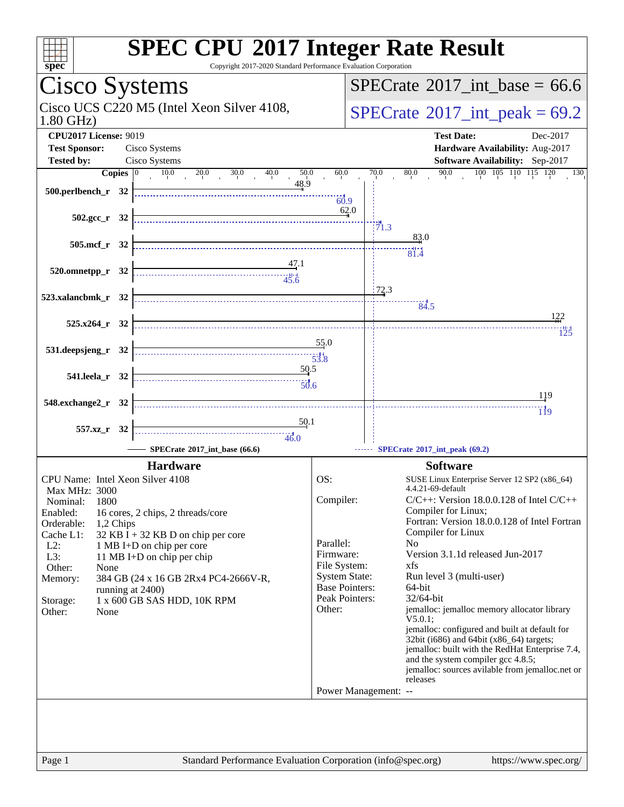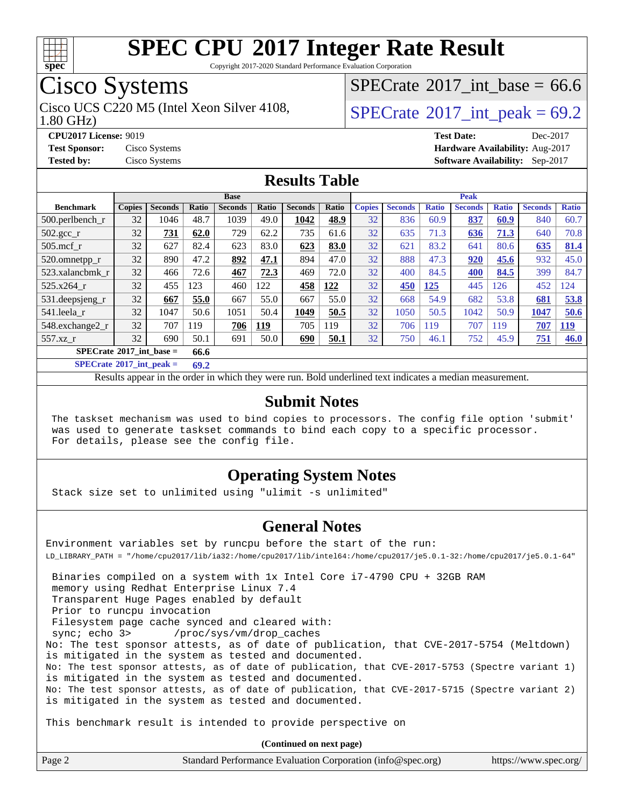

Copyright 2017-2020 Standard Performance Evaluation Corporation

### Cisco Systems

Cisco UCS C220 M5 (Intel Xeon Silver 4108,  $\vert$ [SPECrate](http://www.spec.org/auto/cpu2017/Docs/result-fields.html#SPECrate2017intpeak)®2017 int peak = 69.2

[SPECrate](http://www.spec.org/auto/cpu2017/Docs/result-fields.html#SPECrate2017intbase)®2017 int\_base = 66.6

1.80 GHz)

**[CPU2017 License:](http://www.spec.org/auto/cpu2017/Docs/result-fields.html#CPU2017License)** 9019 **[Test Date:](http://www.spec.org/auto/cpu2017/Docs/result-fields.html#TestDate)** Dec-2017 **[Test Sponsor:](http://www.spec.org/auto/cpu2017/Docs/result-fields.html#TestSponsor)** Cisco Systems **[Hardware Availability:](http://www.spec.org/auto/cpu2017/Docs/result-fields.html#HardwareAvailability)** Aug-2017 **[Tested by:](http://www.spec.org/auto/cpu2017/Docs/result-fields.html#Testedby)** Cisco Systems **[Software Availability:](http://www.spec.org/auto/cpu2017/Docs/result-fields.html#SoftwareAvailability)** Sep-2017

#### **[Results Table](http://www.spec.org/auto/cpu2017/Docs/result-fields.html#ResultsTable)**

|                                           | <b>Base</b>   |                |       |                |       | <b>Peak</b>    |       |               |                |              |                |              |                |              |
|-------------------------------------------|---------------|----------------|-------|----------------|-------|----------------|-------|---------------|----------------|--------------|----------------|--------------|----------------|--------------|
| <b>Benchmark</b>                          | <b>Copies</b> | <b>Seconds</b> | Ratio | <b>Seconds</b> | Ratio | <b>Seconds</b> | Ratio | <b>Copies</b> | <b>Seconds</b> | <b>Ratio</b> | <b>Seconds</b> | <b>Ratio</b> | <b>Seconds</b> | <b>Ratio</b> |
| 500.perlbench_r                           | 32            | 1046           | 48.7  | 1039           | 49.0  | 1042           | 48.9  | 32            | 836            | 60.9         | 837            | 60.9         | 840            | 60.7         |
| 502.gcc_r                                 | 32            | 731            | 62.0  | 729            | 62.2  | 735            | 61.6  | 32            | 635            | 71.3         | 636            | 71.3         | 640            | 70.8         |
| $505$ .mcf r                              | 32            | 627            | 82.4  | 623            | 83.0  | 623            | 83.0  | 32            | 621            | 83.2         | 641            | 80.6         | 635            | 81.4         |
| 520.omnetpp_r                             | 32            | 890            | 47.2  | 892            | 47.1  | 894            | 47.0  | 32            | 888            | 47.3         | 920            | 45.6         | 932            | 45.0         |
| 523.xalancbmk r                           | 32            | 466            | 72.6  | 467            | 72.3  | 469            | 72.0  | 32            | 400            | 84.5         | 400            | 84.5         | 399            | 84.7         |
| 525.x264 r                                | 32            | 455            | 123   | 460            | 122   | 458            | 122   | 32            | <b>450</b>     | 125          | 445            | 126          | 452            | 124          |
| 531.deepsjeng_r                           | 32            | 667            | 55.0  | 667            | 55.0  | 667            | 55.0  | 32            | 668            | 54.9         | 682            | 53.8         | 681            | 53.8         |
| 541.leela r                               | 32            | 1047           | 50.6  | 1051           | 50.4  | 1049           | 50.5  | 32            | 1050           | 50.5         | 1042           | 50.9         | 1047           | 50.6         |
| 548.exchange2_r                           | 32            | 707            | 119   | 706            | 119   | 705            | 119   | 32            | 706            | 119          | 707            | 119          | 707            | <u>119</u>   |
| 557.xz r                                  | 32            | 690            | 50.1  | 691            | 50.0  | 690            | 50.1  | 32            | 750            | 46.1         | 752            | 45.9         | 751            | 46.0         |
| $SPECrate^{\circ}2017$ int base =<br>66.6 |               |                |       |                |       |                |       |               |                |              |                |              |                |              |

**[SPECrate](http://www.spec.org/auto/cpu2017/Docs/result-fields.html#SPECrate2017intpeak)[2017\\_int\\_peak =](http://www.spec.org/auto/cpu2017/Docs/result-fields.html#SPECrate2017intpeak) 69.2**

Results appear in the [order in which they were run.](http://www.spec.org/auto/cpu2017/Docs/result-fields.html#RunOrder) Bold underlined text [indicates a median measurement.](http://www.spec.org/auto/cpu2017/Docs/result-fields.html#Median)

#### **[Submit Notes](http://www.spec.org/auto/cpu2017/Docs/result-fields.html#SubmitNotes)**

 The taskset mechanism was used to bind copies to processors. The config file option 'submit' was used to generate taskset commands to bind each copy to a specific processor. For details, please see the config file.

#### **[Operating System Notes](http://www.spec.org/auto/cpu2017/Docs/result-fields.html#OperatingSystemNotes)**

Stack size set to unlimited using "ulimit -s unlimited"

#### **[General Notes](http://www.spec.org/auto/cpu2017/Docs/result-fields.html#GeneralNotes)**

Environment variables set by runcpu before the start of the run: LD\_LIBRARY\_PATH = "/home/cpu2017/lib/ia32:/home/cpu2017/lib/intel64:/home/cpu2017/je5.0.1-32:/home/cpu2017/je5.0.1-64" Binaries compiled on a system with 1x Intel Core i7-4790 CPU + 32GB RAM

memory using Redhat Enterprise Linux 7.4

 Transparent Huge Pages enabled by default Prior to runcpu invocation

Filesystem page cache synced and cleared with:

sync; echo 3> /proc/sys/vm/drop\_caches

No: The test sponsor attests, as of date of publication, that CVE-2017-5754 (Meltdown) is mitigated in the system as tested and documented. No: The test sponsor attests, as of date of publication, that CVE-2017-5753 (Spectre variant 1)

is mitigated in the system as tested and documented.

No: The test sponsor attests, as of date of publication, that CVE-2017-5715 (Spectre variant 2) is mitigated in the system as tested and documented.

This benchmark result is intended to provide perspective on

**(Continued on next page)**

| Page 2 | Standard Performance Evaluation Corporation (info@spec.org) | https://www.spec.org/ |
|--------|-------------------------------------------------------------|-----------------------|
|--------|-------------------------------------------------------------|-----------------------|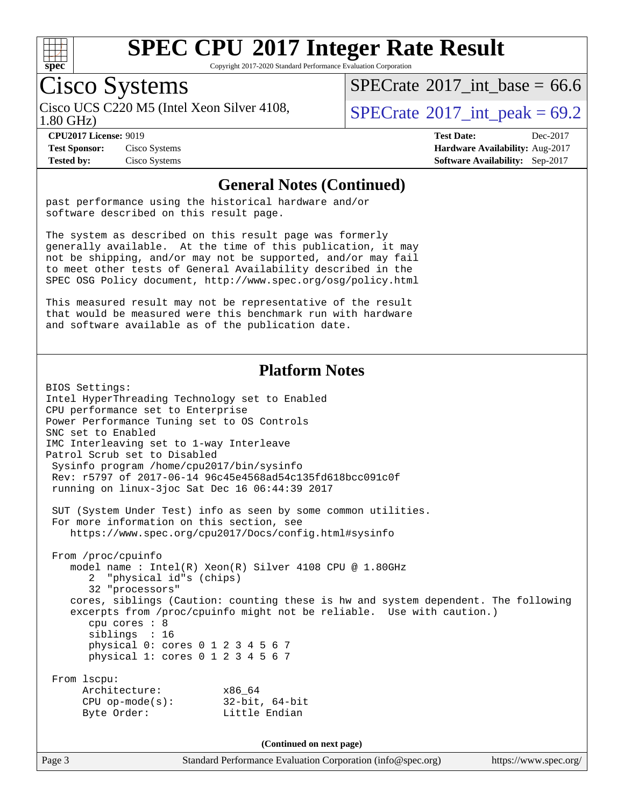

Copyright 2017-2020 Standard Performance Evaluation Corporation

### Cisco Systems

1.80 GHz) Cisco UCS C220 M5 (Intel Xeon Silver 4108,  $\vert$ [SPECrate](http://www.spec.org/auto/cpu2017/Docs/result-fields.html#SPECrate2017intpeak)®2017 int peak = 69.2

[SPECrate](http://www.spec.org/auto/cpu2017/Docs/result-fields.html#SPECrate2017intbase)®2017 int\_base = 66.6

**[Test Sponsor:](http://www.spec.org/auto/cpu2017/Docs/result-fields.html#TestSponsor)** Cisco Systems **[Hardware Availability:](http://www.spec.org/auto/cpu2017/Docs/result-fields.html#HardwareAvailability)** Aug-2017

**[CPU2017 License:](http://www.spec.org/auto/cpu2017/Docs/result-fields.html#CPU2017License)** 9019 **[Test Date:](http://www.spec.org/auto/cpu2017/Docs/result-fields.html#TestDate)** Dec-2017 **[Tested by:](http://www.spec.org/auto/cpu2017/Docs/result-fields.html#Testedby)** Cisco Systems **[Software Availability:](http://www.spec.org/auto/cpu2017/Docs/result-fields.html#SoftwareAvailability)** Sep-2017

#### **[General Notes \(Continued\)](http://www.spec.org/auto/cpu2017/Docs/result-fields.html#GeneralNotes)**

past performance using the historical hardware and/or software described on this result page.

The system as described on this result page was formerly generally available. At the time of this publication, it may not be shipping, and/or may not be supported, and/or may fail to meet other tests of General Availability described in the SPEC OSG Policy document, <http://www.spec.org/osg/policy.html>

This measured result may not be representative of the result that would be measured were this benchmark run with hardware and software available as of the publication date.

#### **[Platform Notes](http://www.spec.org/auto/cpu2017/Docs/result-fields.html#PlatformNotes)**

BIOS Settings: Intel HyperThreading Technology set to Enabled CPU performance set to Enterprise Power Performance Tuning set to OS Controls SNC set to Enabled IMC Interleaving set to 1-way Interleave Patrol Scrub set to Disabled Sysinfo program /home/cpu2017/bin/sysinfo Rev: r5797 of 2017-06-14 96c45e4568ad54c135fd618bcc091c0f running on linux-3joc Sat Dec 16 06:44:39 2017 SUT (System Under Test) info as seen by some common utilities. For more information on this section, see <https://www.spec.org/cpu2017/Docs/config.html#sysinfo> From /proc/cpuinfo model name : Intel(R) Xeon(R) Silver 4108 CPU @ 1.80GHz 2 "physical id"s (chips) 32 "processors" cores, siblings (Caution: counting these is hw and system dependent. The following excerpts from /proc/cpuinfo might not be reliable. Use with caution.) cpu cores : 8 siblings : 16 physical 0: cores 0 1 2 3 4 5 6 7 physical 1: cores 0 1 2 3 4 5 6 7 From lscpu: Architecture: x86\_64 CPU op-mode(s): 32-bit, 64-bit Byte Order: Little Endian **(Continued on next page)**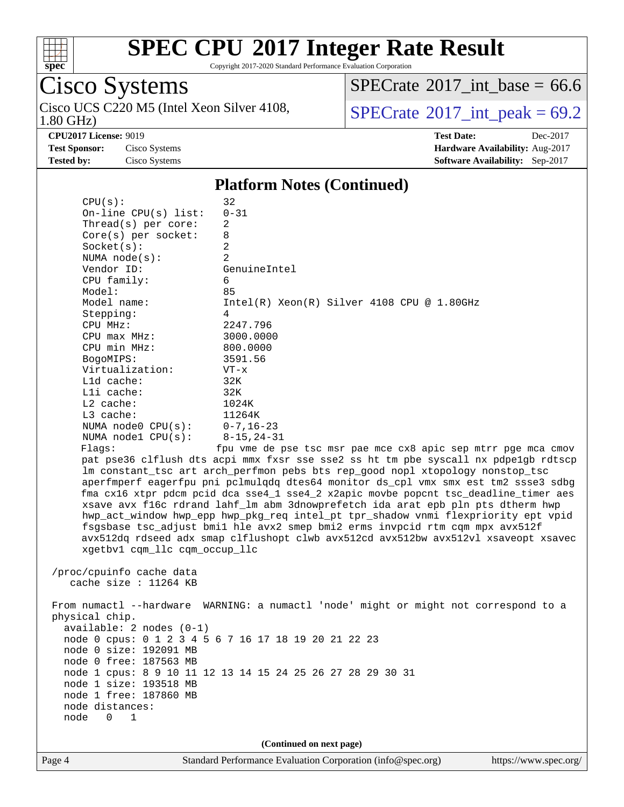

Copyright 2017-2020 Standard Performance Evaluation Corporation

# Cisco Systems<br>Cisco UCS C220 M5 (Intel Xeon Silver 4108,

1.80 GHz)

 $SPECTate$ <sup>®</sup>[2017\\_int\\_base =](http://www.spec.org/auto/cpu2017/Docs/result-fields.html#SPECrate2017intbase) 66.6

 $SPECTate<sup>®</sup>2017_int_ppeak = 69.2$ 

**[Tested by:](http://www.spec.org/auto/cpu2017/Docs/result-fields.html#Testedby)** Cisco Systems **[Software Availability:](http://www.spec.org/auto/cpu2017/Docs/result-fields.html#SoftwareAvailability)** Sep-2017

**[CPU2017 License:](http://www.spec.org/auto/cpu2017/Docs/result-fields.html#CPU2017License)** 9019 **[Test Date:](http://www.spec.org/auto/cpu2017/Docs/result-fields.html#TestDate)** Dec-2017 **[Test Sponsor:](http://www.spec.org/auto/cpu2017/Docs/result-fields.html#TestSponsor)** Cisco Systems **[Hardware Availability:](http://www.spec.org/auto/cpu2017/Docs/result-fields.html#HardwareAvailability)** Aug-2017

#### **[Platform Notes \(Continued\)](http://www.spec.org/auto/cpu2017/Docs/result-fields.html#PlatformNotes)**

| Page 4 | Standard Performance Evaluation Corporation (info@spec.org)<br>https://www.spec.org/                                                                                                                                                                                                                                                                                                                                                                                                                                                                                                                                                                                                                                                                                                                                                                                                                                                                                                                                                                                                                                                                                                                                                                                                                                                                                                                                                                                                                |
|--------|-----------------------------------------------------------------------------------------------------------------------------------------------------------------------------------------------------------------------------------------------------------------------------------------------------------------------------------------------------------------------------------------------------------------------------------------------------------------------------------------------------------------------------------------------------------------------------------------------------------------------------------------------------------------------------------------------------------------------------------------------------------------------------------------------------------------------------------------------------------------------------------------------------------------------------------------------------------------------------------------------------------------------------------------------------------------------------------------------------------------------------------------------------------------------------------------------------------------------------------------------------------------------------------------------------------------------------------------------------------------------------------------------------------------------------------------------------------------------------------------------------|
|        | (Continued on next page)                                                                                                                                                                                                                                                                                                                                                                                                                                                                                                                                                                                                                                                                                                                                                                                                                                                                                                                                                                                                                                                                                                                                                                                                                                                                                                                                                                                                                                                                            |
|        | From numactl --hardware WARNING: a numactl 'node' might or might not correspond to a<br>physical chip.<br>$available: 2 nodes (0-1)$<br>node 0 cpus: 0 1 2 3 4 5 6 7 16 17 18 19 20 21 22 23<br>node 0 size: 192091 MB<br>node 0 free: 187563 MB<br>node 1 cpus: 8 9 10 11 12 13 14 15 24 25 26 27 28 29 30 31<br>node 1 size: 193518 MB<br>node 1 free: 187860 MB<br>node distances:<br>node<br>0<br>$\mathbf 1$                                                                                                                                                                                                                                                                                                                                                                                                                                                                                                                                                                                                                                                                                                                                                                                                                                                                                                                                                                                                                                                                                   |
|        | $0 - 31$<br>On-line $CPU(s)$ list:<br>Thread(s) per core:<br>2<br>8<br>$Core(s)$ per socket:<br>$\overline{a}$<br>Socket(s):<br>2<br>NUMA node(s):<br>Vendor ID:<br>GenuineIntel<br>CPU family:<br>6<br>85<br>Model:<br>Model name:<br>$Intel(R) Xeon(R) Silver 4108 CPU @ 1.80GHz$<br>Stepping:<br>4<br>2247.796<br>CPU MHz:<br>3000.0000<br>CPU max MHz:<br>CPU min MHz:<br>800.0000<br>BogoMIPS:<br>3591.56<br>Virtualization:<br>$VT - x$<br>L1d cache:<br>32K<br>32K<br>Lli cache:<br>$L2$ cache:<br>1024K<br>L3 cache:<br>11264K<br>NUMA node0 CPU(s):<br>$0 - 7, 16 - 23$<br>NUMA nodel CPU(s):<br>$8 - 15, 24 - 31$<br>Flags:<br>fpu vme de pse tsc msr pae mce cx8 apic sep mtrr pge mca cmov<br>pat pse36 clflush dts acpi mmx fxsr sse sse2 ss ht tm pbe syscall nx pdpelgb rdtscp<br>lm constant_tsc art arch_perfmon pebs bts rep_good nopl xtopology nonstop_tsc<br>aperfmperf eagerfpu pni pclmulqdq dtes64 monitor ds_cpl vmx smx est tm2 ssse3 sdbg<br>fma cx16 xtpr pdcm pcid dca sse4_1 sse4_2 x2apic movbe popcnt tsc_deadline_timer aes<br>xsave avx f16c rdrand lahf_lm abm 3dnowprefetch ida arat epb pln pts dtherm hwp<br>hwp_act_window hwp_epp hwp_pkg_req intel_pt tpr_shadow vnmi flexpriority ept vpid<br>fsgsbase tsc_adjust bmil hle avx2 smep bmi2 erms invpcid rtm cqm mpx avx512f<br>avx512dq rdseed adx smap clflushopt clwb avx512cd avx512bw avx512vl xsaveopt xsavec<br>xgetbv1 cqm_llc cqm_occup_llc<br>/proc/cpuinfo cache data<br>cache size : $11264$ KB |
|        | CPU(s):<br>32                                                                                                                                                                                                                                                                                                                                                                                                                                                                                                                                                                                                                                                                                                                                                                                                                                                                                                                                                                                                                                                                                                                                                                                                                                                                                                                                                                                                                                                                                       |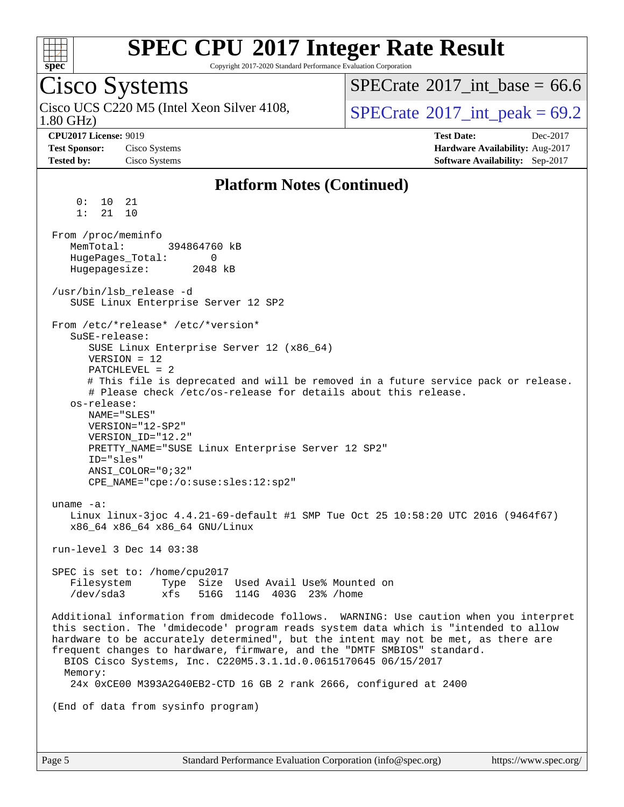

Copyright 2017-2020 Standard Performance Evaluation Corporation

### Cisco Systems

1.80 GHz) Cisco UCS C220 M5 (Intel Xeon Silver 4108,  $\vert$ [SPECrate](http://www.spec.org/auto/cpu2017/Docs/result-fields.html#SPECrate2017intpeak)®2017 int peak = 69.2

[SPECrate](http://www.spec.org/auto/cpu2017/Docs/result-fields.html#SPECrate2017intbase)®2017 int\_base = 66.6

**[CPU2017 License:](http://www.spec.org/auto/cpu2017/Docs/result-fields.html#CPU2017License)** 9019 **[Test Date:](http://www.spec.org/auto/cpu2017/Docs/result-fields.html#TestDate)** Dec-2017 **[Test Sponsor:](http://www.spec.org/auto/cpu2017/Docs/result-fields.html#TestSponsor)** Cisco Systems **[Hardware Availability:](http://www.spec.org/auto/cpu2017/Docs/result-fields.html#HardwareAvailability)** Aug-2017 **[Tested by:](http://www.spec.org/auto/cpu2017/Docs/result-fields.html#Testedby)** Cisco Systems **[Software Availability:](http://www.spec.org/auto/cpu2017/Docs/result-fields.html#SoftwareAvailability)** Sep-2017

#### **[Platform Notes \(Continued\)](http://www.spec.org/auto/cpu2017/Docs/result-fields.html#PlatformNotes)**

 0: 10 21 1: 21 10 From /proc/meminfo MemTotal: 394864760 kB HugePages\_Total: 0 Hugepagesize: 2048 kB /usr/bin/lsb\_release -d SUSE Linux Enterprise Server 12 SP2 From /etc/\*release\* /etc/\*version\* SuSE-release: SUSE Linux Enterprise Server 12 (x86\_64) VERSION = 12 PATCHLEVEL = 2 # This file is deprecated and will be removed in a future service pack or release. # Please check /etc/os-release for details about this release. os-release: NAME="SLES" VERSION="12-SP2" VERSION\_ID="12.2" PRETTY\_NAME="SUSE Linux Enterprise Server 12 SP2" ID="sles" ANSI\_COLOR="0;32" CPE\_NAME="cpe:/o:suse:sles:12:sp2" uname -a: Linux linux-3joc 4.4.21-69-default #1 SMP Tue Oct 25 10:58:20 UTC 2016 (9464f67) x86\_64 x86\_64 x86\_64 GNU/Linux run-level 3 Dec 14 03:38 SPEC is set to: /home/cpu2017 Filesystem Type Size Used Avail Use% Mounted on /dev/sda3 xfs 516G 114G 403G 23% /home Additional information from dmidecode follows. WARNING: Use caution when you interpret this section. The 'dmidecode' program reads system data which is "intended to allow hardware to be accurately determined", but the intent may not be met, as there are frequent changes to hardware, firmware, and the "DMTF SMBIOS" standard. BIOS Cisco Systems, Inc. C220M5.3.1.1d.0.0615170645 06/15/2017 Memory: 24x 0xCE00 M393A2G40EB2-CTD 16 GB 2 rank 2666, configured at 2400 (End of data from sysinfo program)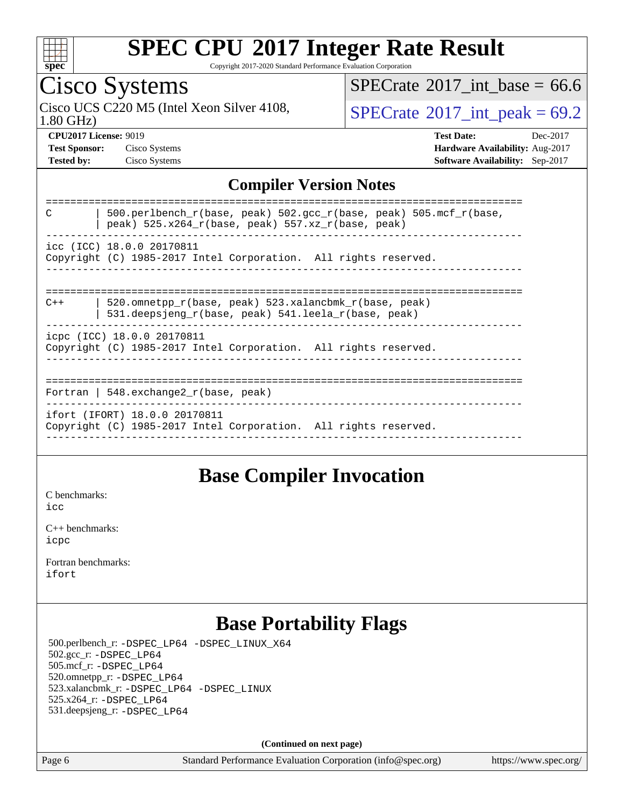

Copyright 2017-2020 Standard Performance Evaluation Corporation

## Cisco Systems

1.80 GHz) Cisco UCS C220 M5 (Intel Xeon Silver 4108,  $SPECrate^{\circ}2017\_int\_peak = 69.2$  $SPECrate^{\circ}2017\_int\_peak = 69.2$ 

[SPECrate](http://www.spec.org/auto/cpu2017/Docs/result-fields.html#SPECrate2017intbase)<sup>®</sup>2017 int\_base = 66.6

**[CPU2017 License:](http://www.spec.org/auto/cpu2017/Docs/result-fields.html#CPU2017License)** 9019 **[Test Date:](http://www.spec.org/auto/cpu2017/Docs/result-fields.html#TestDate)** Dec-2017 **[Test Sponsor:](http://www.spec.org/auto/cpu2017/Docs/result-fields.html#TestSponsor)** Cisco Systems **[Hardware Availability:](http://www.spec.org/auto/cpu2017/Docs/result-fields.html#HardwareAvailability)** Aug-2017 **[Tested by:](http://www.spec.org/auto/cpu2017/Docs/result-fields.html#Testedby)** Cisco Systems **[Software Availability:](http://www.spec.org/auto/cpu2017/Docs/result-fields.html#SoftwareAvailability)** Sep-2017

#### **[Compiler Version Notes](http://www.spec.org/auto/cpu2017/Docs/result-fields.html#CompilerVersionNotes)**

| 500.perlbench $r(base, peak)$ 502.gcc $r(base, peak)$ 505.mcf $r(base,$<br>C<br>peak) 525.x264_r(base, peak) 557.xz_r(base, peak) |  |  |  |  |  |
|-----------------------------------------------------------------------------------------------------------------------------------|--|--|--|--|--|
| icc (ICC) 18.0.0 20170811<br>Copyright (C) 1985-2017 Intel Corporation. All rights reserved.                                      |  |  |  |  |  |
| 520.omnetpp_r(base, peak) 523.xalancbmk_r(base, peak)<br>$C++$<br>531.deepsjeng_r(base, peak) 541.leela_r(base, peak)             |  |  |  |  |  |
| icpc (ICC) 18.0.0 20170811<br>Copyright (C) 1985-2017 Intel Corporation. All rights reserved.                                     |  |  |  |  |  |
| Fortran   548. $exchange2 r(base, peak)$                                                                                          |  |  |  |  |  |
| ifort (IFORT) 18.0.0 20170811<br>Copyright (C) 1985-2017 Intel Corporation. All rights reserved.                                  |  |  |  |  |  |
|                                                                                                                                   |  |  |  |  |  |

#### **[Base Compiler Invocation](http://www.spec.org/auto/cpu2017/Docs/result-fields.html#BaseCompilerInvocation)**

[C benchmarks](http://www.spec.org/auto/cpu2017/Docs/result-fields.html#Cbenchmarks):

[icc](http://www.spec.org/cpu2017/results/res2018q1/cpu2017-20171225-02092.flags.html#user_CCbase_intel_icc_18.0_66fc1ee009f7361af1fbd72ca7dcefbb700085f36577c54f309893dd4ec40d12360134090235512931783d35fd58c0460139e722d5067c5574d8eaf2b3e37e92)

[C++ benchmarks:](http://www.spec.org/auto/cpu2017/Docs/result-fields.html#CXXbenchmarks) [icpc](http://www.spec.org/cpu2017/results/res2018q1/cpu2017-20171225-02092.flags.html#user_CXXbase_intel_icpc_18.0_c510b6838c7f56d33e37e94d029a35b4a7bccf4766a728ee175e80a419847e808290a9b78be685c44ab727ea267ec2f070ec5dc83b407c0218cded6866a35d07)

[Fortran benchmarks](http://www.spec.org/auto/cpu2017/Docs/result-fields.html#Fortranbenchmarks): [ifort](http://www.spec.org/cpu2017/results/res2018q1/cpu2017-20171225-02092.flags.html#user_FCbase_intel_ifort_18.0_8111460550e3ca792625aed983ce982f94888b8b503583aa7ba2b8303487b4d8a21a13e7191a45c5fd58ff318f48f9492884d4413fa793fd88dd292cad7027ca)

### **[Base Portability Flags](http://www.spec.org/auto/cpu2017/Docs/result-fields.html#BasePortabilityFlags)**

 500.perlbench\_r: [-DSPEC\\_LP64](http://www.spec.org/cpu2017/results/res2018q1/cpu2017-20171225-02092.flags.html#b500.perlbench_r_basePORTABILITY_DSPEC_LP64) [-DSPEC\\_LINUX\\_X64](http://www.spec.org/cpu2017/results/res2018q1/cpu2017-20171225-02092.flags.html#b500.perlbench_r_baseCPORTABILITY_DSPEC_LINUX_X64) 502.gcc\_r: [-DSPEC\\_LP64](http://www.spec.org/cpu2017/results/res2018q1/cpu2017-20171225-02092.flags.html#suite_basePORTABILITY502_gcc_r_DSPEC_LP64) 505.mcf\_r: [-DSPEC\\_LP64](http://www.spec.org/cpu2017/results/res2018q1/cpu2017-20171225-02092.flags.html#suite_basePORTABILITY505_mcf_r_DSPEC_LP64) 520.omnetpp\_r: [-DSPEC\\_LP64](http://www.spec.org/cpu2017/results/res2018q1/cpu2017-20171225-02092.flags.html#suite_basePORTABILITY520_omnetpp_r_DSPEC_LP64) 523.xalancbmk\_r: [-DSPEC\\_LP64](http://www.spec.org/cpu2017/results/res2018q1/cpu2017-20171225-02092.flags.html#suite_basePORTABILITY523_xalancbmk_r_DSPEC_LP64) [-DSPEC\\_LINUX](http://www.spec.org/cpu2017/results/res2018q1/cpu2017-20171225-02092.flags.html#b523.xalancbmk_r_baseCXXPORTABILITY_DSPEC_LINUX) 525.x264\_r: [-DSPEC\\_LP64](http://www.spec.org/cpu2017/results/res2018q1/cpu2017-20171225-02092.flags.html#suite_basePORTABILITY525_x264_r_DSPEC_LP64) 531.deepsjeng\_r: [-DSPEC\\_LP64](http://www.spec.org/cpu2017/results/res2018q1/cpu2017-20171225-02092.flags.html#suite_basePORTABILITY531_deepsjeng_r_DSPEC_LP64)

**(Continued on next page)**

Page 6 Standard Performance Evaluation Corporation [\(info@spec.org\)](mailto:info@spec.org) <https://www.spec.org/>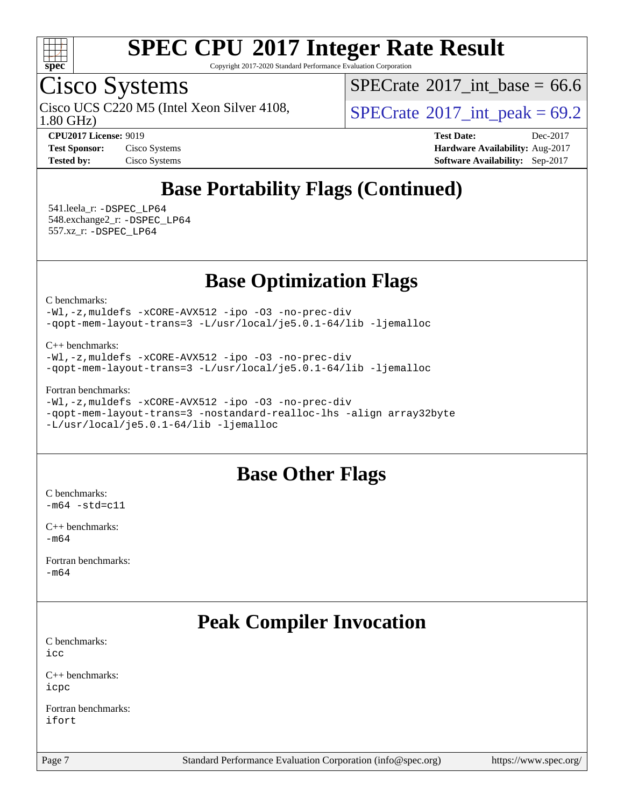

Copyright 2017-2020 Standard Performance Evaluation Corporation

### Cisco Systems

1.80 GHz) Cisco UCS C220 M5 (Intel Xeon Silver 4108,  $\vert$ [SPECrate](http://www.spec.org/auto/cpu2017/Docs/result-fields.html#SPECrate2017intpeak)®2017 int peak = 69.2

[SPECrate](http://www.spec.org/auto/cpu2017/Docs/result-fields.html#SPECrate2017intbase)®2017 int\_base = 66.6

**[CPU2017 License:](http://www.spec.org/auto/cpu2017/Docs/result-fields.html#CPU2017License)** 9019 **[Test Date:](http://www.spec.org/auto/cpu2017/Docs/result-fields.html#TestDate)** Dec-2017 **[Test Sponsor:](http://www.spec.org/auto/cpu2017/Docs/result-fields.html#TestSponsor)** Cisco Systems **[Hardware Availability:](http://www.spec.org/auto/cpu2017/Docs/result-fields.html#HardwareAvailability)** Aug-2017 **[Tested by:](http://www.spec.org/auto/cpu2017/Docs/result-fields.html#Testedby)** Cisco Systems **[Software Availability:](http://www.spec.org/auto/cpu2017/Docs/result-fields.html#SoftwareAvailability)** Sep-2017

### **[Base Portability Flags \(Continued\)](http://www.spec.org/auto/cpu2017/Docs/result-fields.html#BasePortabilityFlags)**

 541.leela\_r: [-DSPEC\\_LP64](http://www.spec.org/cpu2017/results/res2018q1/cpu2017-20171225-02092.flags.html#suite_basePORTABILITY541_leela_r_DSPEC_LP64) 548.exchange2\_r: [-DSPEC\\_LP64](http://www.spec.org/cpu2017/results/res2018q1/cpu2017-20171225-02092.flags.html#suite_basePORTABILITY548_exchange2_r_DSPEC_LP64) 557.xz\_r: [-DSPEC\\_LP64](http://www.spec.org/cpu2017/results/res2018q1/cpu2017-20171225-02092.flags.html#suite_basePORTABILITY557_xz_r_DSPEC_LP64)

### **[Base Optimization Flags](http://www.spec.org/auto/cpu2017/Docs/result-fields.html#BaseOptimizationFlags)**

[C benchmarks](http://www.spec.org/auto/cpu2017/Docs/result-fields.html#Cbenchmarks):

[-Wl,-z,muldefs](http://www.spec.org/cpu2017/results/res2018q1/cpu2017-20171225-02092.flags.html#user_CCbase_link_force_multiple1_b4cbdb97b34bdee9ceefcfe54f4c8ea74255f0b02a4b23e853cdb0e18eb4525ac79b5a88067c842dd0ee6996c24547a27a4b99331201badda8798ef8a743f577) [-xCORE-AVX512](http://www.spec.org/cpu2017/results/res2018q1/cpu2017-20171225-02092.flags.html#user_CCbase_f-xCORE-AVX512) [-ipo](http://www.spec.org/cpu2017/results/res2018q1/cpu2017-20171225-02092.flags.html#user_CCbase_f-ipo) [-O3](http://www.spec.org/cpu2017/results/res2018q1/cpu2017-20171225-02092.flags.html#user_CCbase_f-O3) [-no-prec-div](http://www.spec.org/cpu2017/results/res2018q1/cpu2017-20171225-02092.flags.html#user_CCbase_f-no-prec-div) [-qopt-mem-layout-trans=3](http://www.spec.org/cpu2017/results/res2018q1/cpu2017-20171225-02092.flags.html#user_CCbase_f-qopt-mem-layout-trans_de80db37974c74b1f0e20d883f0b675c88c3b01e9d123adea9b28688d64333345fb62bc4a798493513fdb68f60282f9a726aa07f478b2f7113531aecce732043) [-L/usr/local/je5.0.1-64/lib](http://www.spec.org/cpu2017/results/res2018q1/cpu2017-20171225-02092.flags.html#user_CCbase_jemalloc_link_path64_4b10a636b7bce113509b17f3bd0d6226c5fb2346b9178c2d0232c14f04ab830f976640479e5c33dc2bcbbdad86ecfb6634cbbd4418746f06f368b512fced5394) [-ljemalloc](http://www.spec.org/cpu2017/results/res2018q1/cpu2017-20171225-02092.flags.html#user_CCbase_jemalloc_link_lib_d1249b907c500fa1c0672f44f562e3d0f79738ae9e3c4a9c376d49f265a04b9c99b167ecedbf6711b3085be911c67ff61f150a17b3472be731631ba4d0471706)

[C++ benchmarks:](http://www.spec.org/auto/cpu2017/Docs/result-fields.html#CXXbenchmarks)

[-Wl,-z,muldefs](http://www.spec.org/cpu2017/results/res2018q1/cpu2017-20171225-02092.flags.html#user_CXXbase_link_force_multiple1_b4cbdb97b34bdee9ceefcfe54f4c8ea74255f0b02a4b23e853cdb0e18eb4525ac79b5a88067c842dd0ee6996c24547a27a4b99331201badda8798ef8a743f577) [-xCORE-AVX512](http://www.spec.org/cpu2017/results/res2018q1/cpu2017-20171225-02092.flags.html#user_CXXbase_f-xCORE-AVX512) [-ipo](http://www.spec.org/cpu2017/results/res2018q1/cpu2017-20171225-02092.flags.html#user_CXXbase_f-ipo) [-O3](http://www.spec.org/cpu2017/results/res2018q1/cpu2017-20171225-02092.flags.html#user_CXXbase_f-O3) [-no-prec-div](http://www.spec.org/cpu2017/results/res2018q1/cpu2017-20171225-02092.flags.html#user_CXXbase_f-no-prec-div) [-qopt-mem-layout-trans=3](http://www.spec.org/cpu2017/results/res2018q1/cpu2017-20171225-02092.flags.html#user_CXXbase_f-qopt-mem-layout-trans_de80db37974c74b1f0e20d883f0b675c88c3b01e9d123adea9b28688d64333345fb62bc4a798493513fdb68f60282f9a726aa07f478b2f7113531aecce732043) [-L/usr/local/je5.0.1-64/lib](http://www.spec.org/cpu2017/results/res2018q1/cpu2017-20171225-02092.flags.html#user_CXXbase_jemalloc_link_path64_4b10a636b7bce113509b17f3bd0d6226c5fb2346b9178c2d0232c14f04ab830f976640479e5c33dc2bcbbdad86ecfb6634cbbd4418746f06f368b512fced5394) [-ljemalloc](http://www.spec.org/cpu2017/results/res2018q1/cpu2017-20171225-02092.flags.html#user_CXXbase_jemalloc_link_lib_d1249b907c500fa1c0672f44f562e3d0f79738ae9e3c4a9c376d49f265a04b9c99b167ecedbf6711b3085be911c67ff61f150a17b3472be731631ba4d0471706)

[Fortran benchmarks](http://www.spec.org/auto/cpu2017/Docs/result-fields.html#Fortranbenchmarks):

[-Wl,-z,muldefs](http://www.spec.org/cpu2017/results/res2018q1/cpu2017-20171225-02092.flags.html#user_FCbase_link_force_multiple1_b4cbdb97b34bdee9ceefcfe54f4c8ea74255f0b02a4b23e853cdb0e18eb4525ac79b5a88067c842dd0ee6996c24547a27a4b99331201badda8798ef8a743f577) [-xCORE-AVX512](http://www.spec.org/cpu2017/results/res2018q1/cpu2017-20171225-02092.flags.html#user_FCbase_f-xCORE-AVX512) [-ipo](http://www.spec.org/cpu2017/results/res2018q1/cpu2017-20171225-02092.flags.html#user_FCbase_f-ipo) [-O3](http://www.spec.org/cpu2017/results/res2018q1/cpu2017-20171225-02092.flags.html#user_FCbase_f-O3) [-no-prec-div](http://www.spec.org/cpu2017/results/res2018q1/cpu2017-20171225-02092.flags.html#user_FCbase_f-no-prec-div) [-qopt-mem-layout-trans=3](http://www.spec.org/cpu2017/results/res2018q1/cpu2017-20171225-02092.flags.html#user_FCbase_f-qopt-mem-layout-trans_de80db37974c74b1f0e20d883f0b675c88c3b01e9d123adea9b28688d64333345fb62bc4a798493513fdb68f60282f9a726aa07f478b2f7113531aecce732043) [-nostandard-realloc-lhs](http://www.spec.org/cpu2017/results/res2018q1/cpu2017-20171225-02092.flags.html#user_FCbase_f_2003_std_realloc_82b4557e90729c0f113870c07e44d33d6f5a304b4f63d4c15d2d0f1fab99f5daaed73bdb9275d9ae411527f28b936061aa8b9c8f2d63842963b95c9dd6426b8a) [-align array32byte](http://www.spec.org/cpu2017/results/res2018q1/cpu2017-20171225-02092.flags.html#user_FCbase_align_array32byte_b982fe038af199962ba9a80c053b8342c548c85b40b8e86eb3cc33dee0d7986a4af373ac2d51c3f7cf710a18d62fdce2948f201cd044323541f22fc0fffc51b6) [-L/usr/local/je5.0.1-64/lib](http://www.spec.org/cpu2017/results/res2018q1/cpu2017-20171225-02092.flags.html#user_FCbase_jemalloc_link_path64_4b10a636b7bce113509b17f3bd0d6226c5fb2346b9178c2d0232c14f04ab830f976640479e5c33dc2bcbbdad86ecfb6634cbbd4418746f06f368b512fced5394) [-ljemalloc](http://www.spec.org/cpu2017/results/res2018q1/cpu2017-20171225-02092.flags.html#user_FCbase_jemalloc_link_lib_d1249b907c500fa1c0672f44f562e3d0f79738ae9e3c4a9c376d49f265a04b9c99b167ecedbf6711b3085be911c67ff61f150a17b3472be731631ba4d0471706)

#### **[Base Other Flags](http://www.spec.org/auto/cpu2017/Docs/result-fields.html#BaseOtherFlags)**

[C benchmarks](http://www.spec.org/auto/cpu2017/Docs/result-fields.html#Cbenchmarks):  $-m64$   $-std=cl1$ 

[C++ benchmarks:](http://www.spec.org/auto/cpu2017/Docs/result-fields.html#CXXbenchmarks) [-m64](http://www.spec.org/cpu2017/results/res2018q1/cpu2017-20171225-02092.flags.html#user_CXXbase_intel_intel64_18.0_af43caccfc8ded86e7699f2159af6efc7655f51387b94da716254467f3c01020a5059329e2569e4053f409e7c9202a7efc638f7a6d1ffb3f52dea4a3e31d82ab)

[Fortran benchmarks](http://www.spec.org/auto/cpu2017/Docs/result-fields.html#Fortranbenchmarks): [-m64](http://www.spec.org/cpu2017/results/res2018q1/cpu2017-20171225-02092.flags.html#user_FCbase_intel_intel64_18.0_af43caccfc8ded86e7699f2159af6efc7655f51387b94da716254467f3c01020a5059329e2569e4053f409e7c9202a7efc638f7a6d1ffb3f52dea4a3e31d82ab)

### **[Peak Compiler Invocation](http://www.spec.org/auto/cpu2017/Docs/result-fields.html#PeakCompilerInvocation)**

[C benchmarks](http://www.spec.org/auto/cpu2017/Docs/result-fields.html#Cbenchmarks): [icc](http://www.spec.org/cpu2017/results/res2018q1/cpu2017-20171225-02092.flags.html#user_CCpeak_intel_icc_18.0_66fc1ee009f7361af1fbd72ca7dcefbb700085f36577c54f309893dd4ec40d12360134090235512931783d35fd58c0460139e722d5067c5574d8eaf2b3e37e92)

[C++ benchmarks:](http://www.spec.org/auto/cpu2017/Docs/result-fields.html#CXXbenchmarks) [icpc](http://www.spec.org/cpu2017/results/res2018q1/cpu2017-20171225-02092.flags.html#user_CXXpeak_intel_icpc_18.0_c510b6838c7f56d33e37e94d029a35b4a7bccf4766a728ee175e80a419847e808290a9b78be685c44ab727ea267ec2f070ec5dc83b407c0218cded6866a35d07)

[Fortran benchmarks](http://www.spec.org/auto/cpu2017/Docs/result-fields.html#Fortranbenchmarks): [ifort](http://www.spec.org/cpu2017/results/res2018q1/cpu2017-20171225-02092.flags.html#user_FCpeak_intel_ifort_18.0_8111460550e3ca792625aed983ce982f94888b8b503583aa7ba2b8303487b4d8a21a13e7191a45c5fd58ff318f48f9492884d4413fa793fd88dd292cad7027ca)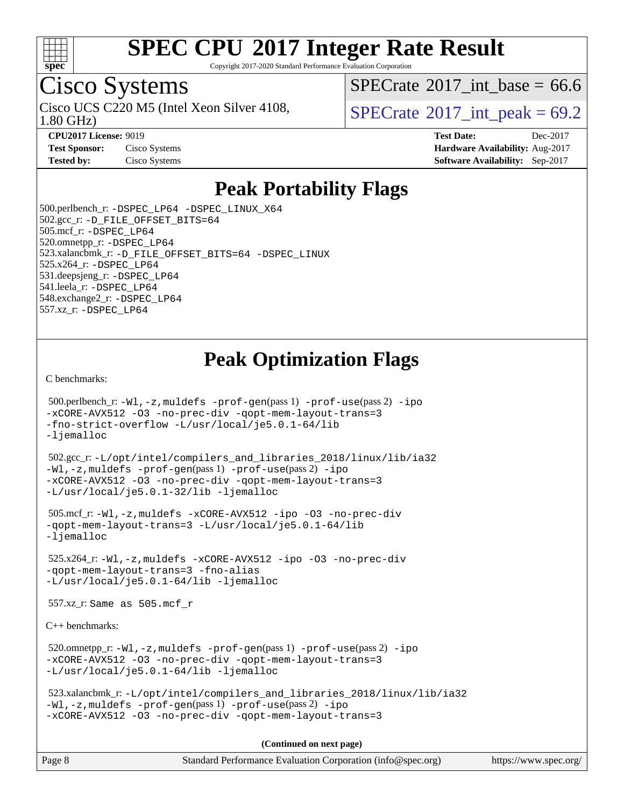

Copyright 2017-2020 Standard Performance Evaluation Corporation

### Cisco Systems

1.80 GHz) Cisco UCS C220 M5 (Intel Xeon Silver 4108,  $\vert$ [SPECrate](http://www.spec.org/auto/cpu2017/Docs/result-fields.html#SPECrate2017intpeak)®2017 int peak = 69.2

[SPECrate](http://www.spec.org/auto/cpu2017/Docs/result-fields.html#SPECrate2017intbase)®2017 int\_base =  $66.6$ 

**[CPU2017 License:](http://www.spec.org/auto/cpu2017/Docs/result-fields.html#CPU2017License)** 9019 **[Test Date:](http://www.spec.org/auto/cpu2017/Docs/result-fields.html#TestDate)** Dec-2017 **[Test Sponsor:](http://www.spec.org/auto/cpu2017/Docs/result-fields.html#TestSponsor)** Cisco Systems **[Hardware Availability:](http://www.spec.org/auto/cpu2017/Docs/result-fields.html#HardwareAvailability)** Aug-2017 **[Tested by:](http://www.spec.org/auto/cpu2017/Docs/result-fields.html#Testedby)** Cisco Systems **[Software Availability:](http://www.spec.org/auto/cpu2017/Docs/result-fields.html#SoftwareAvailability)** Sep-2017

### **[Peak Portability Flags](http://www.spec.org/auto/cpu2017/Docs/result-fields.html#PeakPortabilityFlags)**

 500.perlbench\_r: [-DSPEC\\_LP64](http://www.spec.org/cpu2017/results/res2018q1/cpu2017-20171225-02092.flags.html#b500.perlbench_r_peakPORTABILITY_DSPEC_LP64) [-DSPEC\\_LINUX\\_X64](http://www.spec.org/cpu2017/results/res2018q1/cpu2017-20171225-02092.flags.html#b500.perlbench_r_peakCPORTABILITY_DSPEC_LINUX_X64) 502.gcc\_r: [-D\\_FILE\\_OFFSET\\_BITS=64](http://www.spec.org/cpu2017/results/res2018q1/cpu2017-20171225-02092.flags.html#user_peakPORTABILITY502_gcc_r_file_offset_bits_64_5ae949a99b284ddf4e95728d47cb0843d81b2eb0e18bdfe74bbf0f61d0b064f4bda2f10ea5eb90e1dcab0e84dbc592acfc5018bc955c18609f94ddb8d550002c) 505.mcf\_r: [-DSPEC\\_LP64](http://www.spec.org/cpu2017/results/res2018q1/cpu2017-20171225-02092.flags.html#suite_peakPORTABILITY505_mcf_r_DSPEC_LP64) 520.omnetpp\_r: [-DSPEC\\_LP64](http://www.spec.org/cpu2017/results/res2018q1/cpu2017-20171225-02092.flags.html#suite_peakPORTABILITY520_omnetpp_r_DSPEC_LP64) 523.xalancbmk\_r: [-D\\_FILE\\_OFFSET\\_BITS=64](http://www.spec.org/cpu2017/results/res2018q1/cpu2017-20171225-02092.flags.html#user_peakPORTABILITY523_xalancbmk_r_file_offset_bits_64_5ae949a99b284ddf4e95728d47cb0843d81b2eb0e18bdfe74bbf0f61d0b064f4bda2f10ea5eb90e1dcab0e84dbc592acfc5018bc955c18609f94ddb8d550002c) [-DSPEC\\_LINUX](http://www.spec.org/cpu2017/results/res2018q1/cpu2017-20171225-02092.flags.html#b523.xalancbmk_r_peakCXXPORTABILITY_DSPEC_LINUX) 525.x264\_r: [-DSPEC\\_LP64](http://www.spec.org/cpu2017/results/res2018q1/cpu2017-20171225-02092.flags.html#suite_peakPORTABILITY525_x264_r_DSPEC_LP64) 531.deepsjeng\_r: [-DSPEC\\_LP64](http://www.spec.org/cpu2017/results/res2018q1/cpu2017-20171225-02092.flags.html#suite_peakPORTABILITY531_deepsjeng_r_DSPEC_LP64) 541.leela\_r: [-DSPEC\\_LP64](http://www.spec.org/cpu2017/results/res2018q1/cpu2017-20171225-02092.flags.html#suite_peakPORTABILITY541_leela_r_DSPEC_LP64) 548.exchange2\_r: [-DSPEC\\_LP64](http://www.spec.org/cpu2017/results/res2018q1/cpu2017-20171225-02092.flags.html#suite_peakPORTABILITY548_exchange2_r_DSPEC_LP64) 557.xz\_r: [-DSPEC\\_LP64](http://www.spec.org/cpu2017/results/res2018q1/cpu2017-20171225-02092.flags.html#suite_peakPORTABILITY557_xz_r_DSPEC_LP64)

### **[Peak Optimization Flags](http://www.spec.org/auto/cpu2017/Docs/result-fields.html#PeakOptimizationFlags)**

[C benchmarks](http://www.spec.org/auto/cpu2017/Docs/result-fields.html#Cbenchmarks):

```
 500.perlbench_r: -Wl,-z,muldefs -prof-gen(pass 1) -prof-use(pass 2) -ipo
-xCORE-AVX512 -O3 -no-prec-div -qopt-mem-layout-trans=3
-fno-strict-overflow -L/usr/local/je5.0.1-64/lib
-ljemalloc
 502.gcc_r: -L/opt/intel/compilers_and_libraries_2018/linux/lib/ia32
-Wl,-z,muldefs -prof-gen(pass 1) -prof-use(pass 2) -ipo
-xCORE-AVX512 -O3 -no-prec-div -qopt-mem-layout-trans=3
-L/usr/local/je5.0.1-32/lib -ljemalloc
 505.mcf_r: -Wl,-z,muldefs -xCORE-AVX512 -ipo -O3 -no-prec-div
-qopt-mem-layout-trans=3 -L/usr/local/je5.0.1-64/lib
-ljemalloc
 525.x264_r: -Wl,-z,muldefs -xCORE-AVX512 -ipo -O3 -no-prec-div
-qopt-mem-layout-trans=3 -fno-alias
-L/usr/local/je5.0.1-64/lib -ljemalloc
 557.xz_r: Same as 505.mcf_r
C++ benchmarks: 
 520.omnetpp_r: -Wl,-z,muldefs -prof-gen(pass 1) -prof-use(pass 2) -ipo
-xCORE-AVX512 -O3 -no-prec-div -qopt-mem-layout-trans=3
-L/usr/local/je5.0.1-64/lib -ljemalloc
 523.xalancbmk_r: -L/opt/intel/compilers_and_libraries_2018/linux/lib/ia32
-Wl,-z,muldefs -prof-gen(pass 1) -prof-use(pass 2) -ipo
-xCORE-AVX512 -O3 -no-prec-div -qopt-mem-layout-trans=3
                                      (Continued on next page)
```

| Page 8<br>Standard Performance Evaluation Corporation (info@spec.org) | https://www.spec.org/ |
|-----------------------------------------------------------------------|-----------------------|
|-----------------------------------------------------------------------|-----------------------|